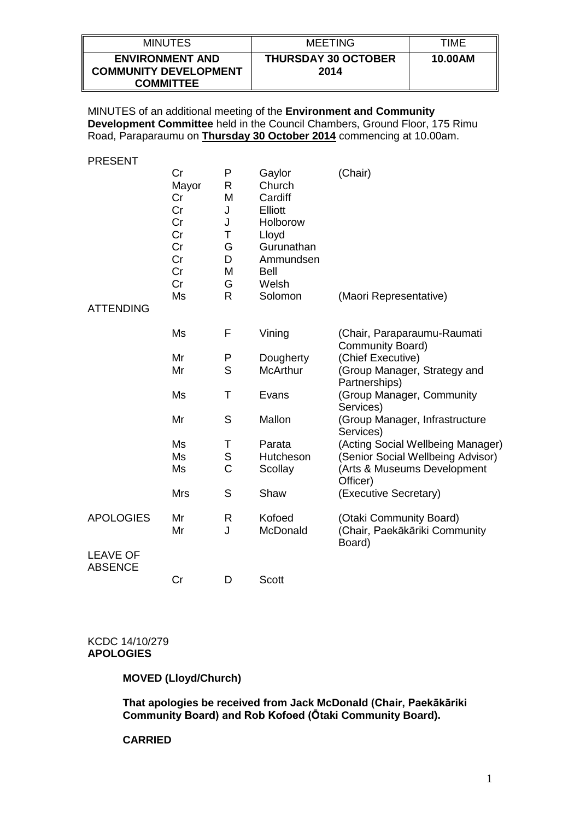| <b>MINUTES</b>                                                             | <b>MEETING</b>                     | TIME    |
|----------------------------------------------------------------------------|------------------------------------|---------|
| <b>ENVIRONMENT AND</b><br><b>COMMUNITY DEVELOPMENT</b><br><b>COMMITTEE</b> | <b>THURSDAY 30 OCTOBER</b><br>2014 | 10.00AM |

MINUTES of an additional meeting of the **Environment and Community Development Committee** held in the Council Chambers, Ground Floor, 175 Rimu Road, Paraparaumu on **Thursday 30 October 2014** commencing at 10.00am.

PRESENT

|                                   | Cr<br>Mayor<br>Cr<br>Cr<br>Cr<br>Cr<br>Cr<br>Cr<br>Cr<br>Cr | P<br>R<br>M<br>J<br>J<br>Τ<br>G<br>D<br>M<br>G | Gaylor<br>Church<br>Cardiff<br>Elliott<br>Holborow<br>Lloyd<br>Gurunathan<br>Ammundsen<br><b>Bell</b><br>Welsh | (Chair)                                                            |
|-----------------------------------|-------------------------------------------------------------|------------------------------------------------|----------------------------------------------------------------------------------------------------------------|--------------------------------------------------------------------|
| <b>ATTENDING</b>                  | Ms                                                          | $\mathsf{R}$                                   | Solomon                                                                                                        | (Maori Representative)                                             |
|                                   | Ms                                                          | F                                              | Vining                                                                                                         | (Chair, Paraparaumu-Raumati<br>Community Board)                    |
|                                   | Mr                                                          | P                                              | Dougherty                                                                                                      | (Chief Executive)                                                  |
|                                   | Mr                                                          | S                                              | <b>McArthur</b>                                                                                                | (Group Manager, Strategy and<br>Partnerships)                      |
|                                   | Ms                                                          | T                                              | Evans                                                                                                          | (Group Manager, Community<br>Services)                             |
|                                   | Mr                                                          | S                                              | Mallon                                                                                                         | (Group Manager, Infrastructure<br>Services)                        |
|                                   | Ms                                                          | Τ                                              | Parata                                                                                                         | (Acting Social Wellbeing Manager)                                  |
|                                   | Ms                                                          | $\mathbf S$                                    | Hutcheson                                                                                                      | (Senior Social Wellbeing Advisor)                                  |
|                                   | Ms                                                          | Ċ                                              | Scollay                                                                                                        | (Arts & Museums Development<br>Officer)                            |
|                                   | <b>Mrs</b>                                                  | S                                              | Shaw                                                                                                           | (Executive Secretary)                                              |
| <b>APOLOGIES</b>                  | Mr<br>Mr                                                    | R<br>J                                         | Kofoed<br>McDonald                                                                                             | (Otaki Community Board)<br>(Chair, Paekākāriki Community<br>Board) |
| <b>LEAVE OF</b><br><b>ABSENCE</b> |                                                             |                                                |                                                                                                                |                                                                    |
|                                   | Cr                                                          | D                                              | <b>Scott</b>                                                                                                   |                                                                    |

#### KCDC 14/10/279 **APOLOGIES**

# **MOVED (Lloyd/Church)**

**That apologies be received from Jack McDonald (Chair, Paekākāriki Community Board) and Rob Kofoed (Ōtaki Community Board).**

#### **CARRIED**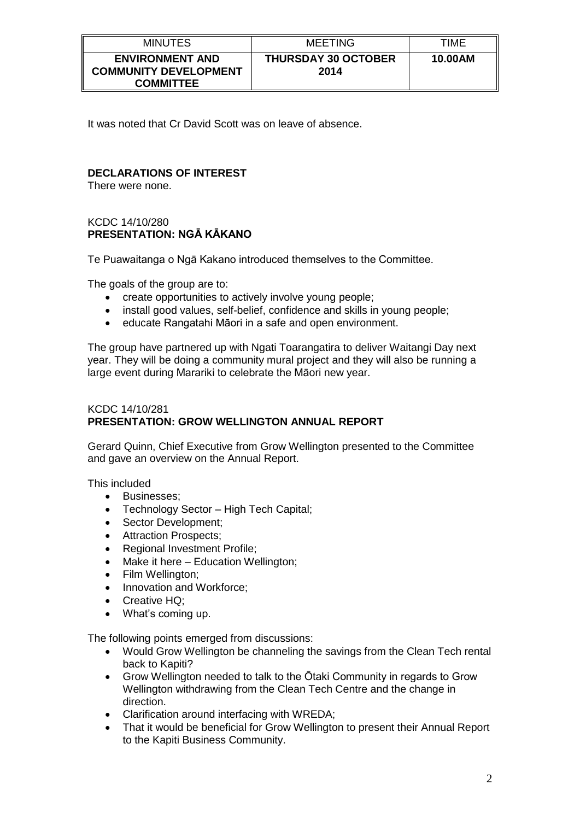| <b>MINUTES</b>                                                             | <b>MEETING</b>                     | TIME    |
|----------------------------------------------------------------------------|------------------------------------|---------|
| <b>ENVIRONMENT AND</b><br><b>COMMUNITY DEVELOPMENT</b><br><b>COMMITTEE</b> | <b>THURSDAY 30 OCTOBER</b><br>2014 | 10.00AM |

It was noted that Cr David Scott was on leave of absence.

# **DECLARATIONS OF INTEREST**

There were none.

### KCDC 14/10/280 **PRESENTATION: NGĀ KĀKANO**

Te Puawaitanga o Ngā Kakano introduced themselves to the Committee.

The goals of the group are to:

- create opportunities to actively involve young people;
- install good values, self-belief, confidence and skills in young people;
- educate Rangatahi Māori in a safe and open environment.

The group have partnered up with Ngati Toarangatira to deliver Waitangi Day next year. They will be doing a community mural project and they will also be running a large event during Marariki to celebrate the Māori new year.

### KCDC 14/10/281 **PRESENTATION: GROW WELLINGTON ANNUAL REPORT**

Gerard Quinn, Chief Executive from Grow Wellington presented to the Committee and gave an overview on the Annual Report.

This included

- Businesses:
- Technology Sector High Tech Capital;
- Sector Development;<br>• Attraction Prospects:
- Attraction Prospects;
- Regional Investment Profile;
- Make it here Education Wellington;
- Film Wellington;
- Innovation and Workforce:
- Creative HQ;
- What's coming up.

The following points emerged from discussions:

- Would Grow Wellington be channeling the savings from the Clean Tech rental back to Kapiti?
- Grow Wellington needed to talk to the Ōtaki Community in regards to Grow Wellington withdrawing from the Clean Tech Centre and the change in direction.
- Clarification around interfacing with WREDA;
- That it would be beneficial for Grow Wellington to present their Annual Report to the Kapiti Business Community.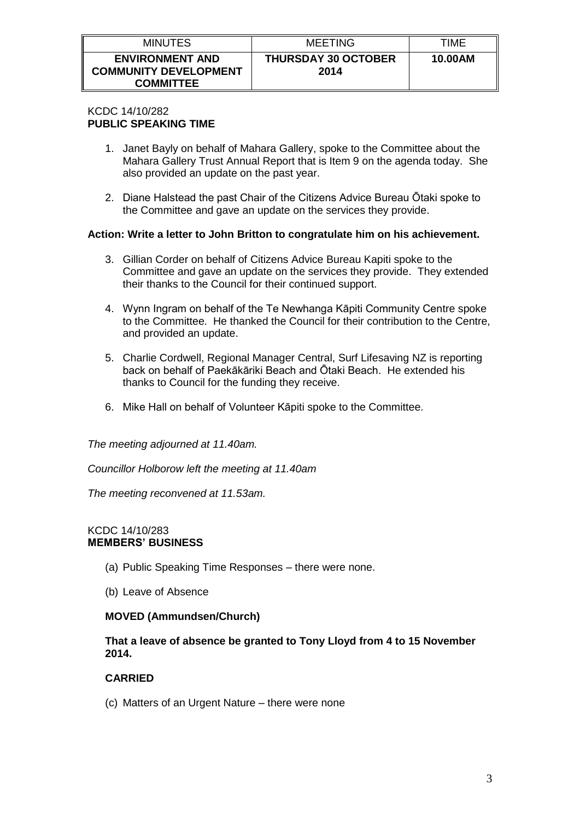| <b>MINUTES</b>                                                             | MEETING                            | TIME    |
|----------------------------------------------------------------------------|------------------------------------|---------|
| <b>ENVIRONMENT AND</b><br><b>COMMUNITY DEVELOPMENT</b><br><b>COMMITTEE</b> | <b>THURSDAY 30 OCTOBER</b><br>2014 | 10.00AM |

#### KCDC 14/10/282 **PUBLIC SPEAKING TIME**

- 1. Janet Bayly on behalf of Mahara Gallery, spoke to the Committee about the Mahara Gallery Trust Annual Report that is Item 9 on the agenda today. She also provided an update on the past year.
- 2. Diane Halstead the past Chair of the Citizens Advice Bureau Ōtaki spoke to the Committee and gave an update on the services they provide.

# **Action: Write a letter to John Britton to congratulate him on his achievement.**

- 3. Gillian Corder on behalf of Citizens Advice Bureau Kapiti spoke to the Committee and gave an update on the services they provide. They extended their thanks to the Council for their continued support.
- 4. Wynn Ingram on behalf of the Te Newhanga Kāpiti Community Centre spoke to the Committee. He thanked the Council for their contribution to the Centre, and provided an update.
- 5. Charlie Cordwell, Regional Manager Central, Surf Lifesaving NZ is reporting back on behalf of Paekākāriki Beach and Ōtaki Beach. He extended his thanks to Council for the funding they receive.
- 6. Mike Hall on behalf of Volunteer Kāpiti spoke to the Committee.

*The meeting adjourned at 11.40am.*

*Councillor Holborow left the meeting at 11.40am*

*The meeting reconvened at 11.53am.*

### KCDC 14/10/283 **MEMBERS' BUSINESS**

- (a) Public Speaking Time Responses there were none.
- (b) Leave of Absence

### **MOVED (Ammundsen/Church)**

**That a leave of absence be granted to Tony Lloyd from 4 to 15 November 2014.**

### **CARRIED**

(c) Matters of an Urgent Nature – there were none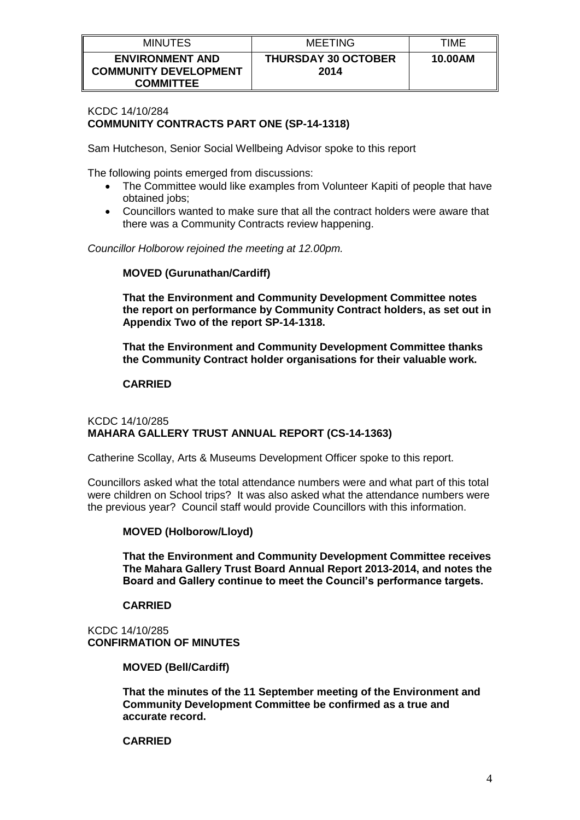| <b>MINUTES</b>                                                             | <b>MEETING</b>                     | TIME    |
|----------------------------------------------------------------------------|------------------------------------|---------|
| <b>ENVIRONMENT AND</b><br><b>COMMUNITY DEVELOPMENT</b><br><b>COMMITTEE</b> | <b>THURSDAY 30 OCTOBER</b><br>2014 | 10.00AM |

### KCDC 14/10/284 **COMMUNITY CONTRACTS PART ONE (SP-14-1318)**

Sam Hutcheson, Senior Social Wellbeing Advisor spoke to this report

The following points emerged from discussions:

- The Committee would like examples from Volunteer Kapiti of people that have obtained jobs;
- Councillors wanted to make sure that all the contract holders were aware that there was a Community Contracts review happening.

*Councillor Holborow rejoined the meeting at 12.00pm.*

### **MOVED (Gurunathan/Cardiff)**

**That the Environment and Community Development Committee notes the report on performance by Community Contract holders, as set out in Appendix Two of the report SP-14-1318.**

**That the Environment and Community Development Committee thanks the Community Contract holder organisations for their valuable work.**

### **CARRIED**

### KCDC 14/10/285 **MAHARA GALLERY TRUST ANNUAL REPORT (CS-14-1363)**

Catherine Scollay, Arts & Museums Development Officer spoke to this report.

Councillors asked what the total attendance numbers were and what part of this total were children on School trips? It was also asked what the attendance numbers were the previous year? Council staff would provide Councillors with this information.

### **MOVED (Holborow/Lloyd)**

**That the Environment and Community Development Committee receives The Mahara Gallery Trust Board Annual Report 2013-2014, and notes the Board and Gallery continue to meet the Council's performance targets.**

### **CARRIED**

KCDC 14/10/285 **CONFIRMATION OF MINUTES**

**MOVED (Bell/Cardiff)**

**That the minutes of the 11 September meeting of the Environment and Community Development Committee be confirmed as a true and accurate record.**

#### **CARRIED**